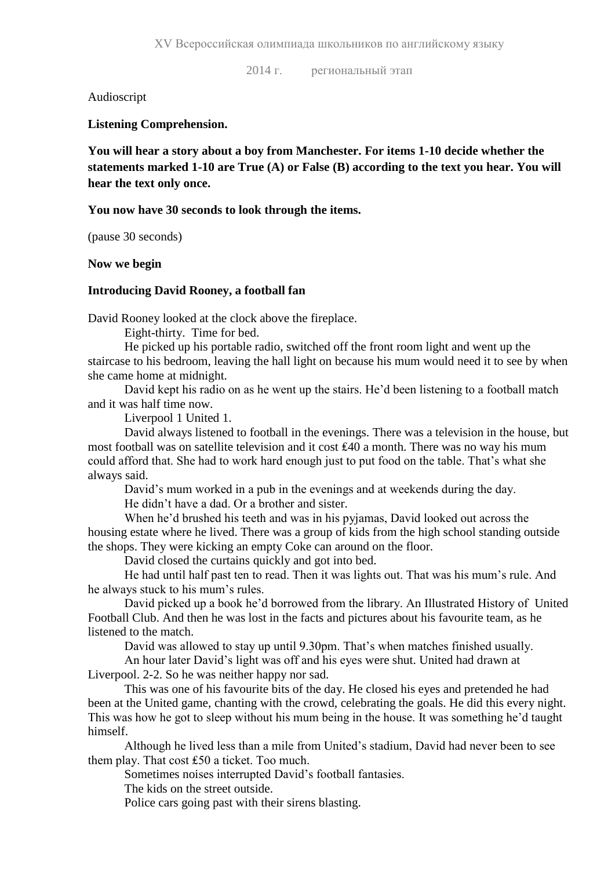2014 г. региональный этап

Audioscript

**Listening Comprehension.**

**You will hear a story about a boy from Manchester. For items 1-10 decide whether the statements marked 1-10 are True (A) or False (B) according to the text you hear. You will hear the text only once.**

#### **You now have 30 seconds to look through the items.**

(pause 30 seconds)

**Now we begin**

#### **Introducing David Rooney, a football fan**

David Rooney looked at the clock above the fireplace.

Eight-thirty. Time for bed.

He picked up his portable radio, switched off the front room light and went up the staircase to his bedroom, leaving the hall light on because his mum would need it to see by when she came home at midnight.

David kept his radio on as he went up the stairs. He'd been listening to a football match and it was half time now.

Liverpool 1 United 1.

David always listened to football in the evenings. There was a television in the house, but most football was on satellite television and it cost ₤40 a month. There was no way his mum could afford that. She had to work hard enough just to put food on the table. That's what she always said.

David's mum worked in a pub in the evenings and at weekends during the day.

He didn't have a dad. Or a brother and sister.

When he'd brushed his teeth and was in his pyjamas, David looked out across the housing estate where he lived. There was a group of kids from the high school standing outside the shops. They were kicking an empty Coke can around on the floor.

David closed the curtains quickly and got into bed.

He had until half past ten to read. Then it was lights out. That was his mum's rule. And he always stuck to his mum's rules.

David picked up a book he'd borrowed from the library. An Illustrated History of United Football Club. And then he was lost in the facts and pictures about his favourite team, as he listened to the match.

David was allowed to stay up until 9.30pm. That's when matches finished usually.

An hour later David's light was off and his eyes were shut. United had drawn at Liverpool. 2-2. So he was neither happy nor sad.

This was one of his favourite bits of the day. He closed his eyes and pretended he had been at the United game, chanting with the crowd, celebrating the goals. He did this every night. This was how he got to sleep without his mum being in the house. It was something he'd taught himself.

Although he lived less than a mile from United's stadium, David had never been to see them play. That cost ₤50 a ticket. Too much.

Sometimes noises interrupted David's football fantasies.

The kids on the street outside.

Police cars going past with their sirens blasting.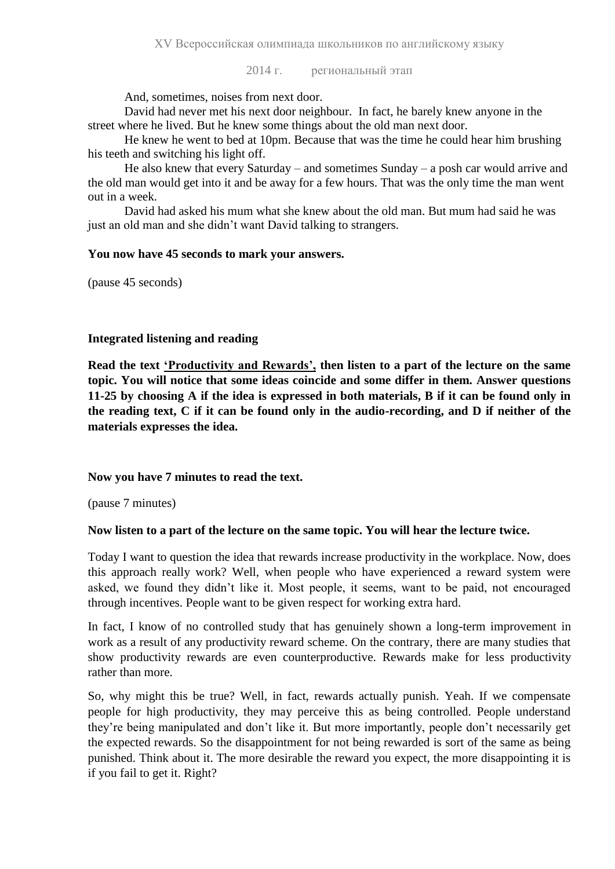2014 г. региональный этап

And, sometimes, noises from next door.

David had never met his next door neighbour. In fact, he barely knew anyone in the street where he lived. But he knew some things about the old man next door.

He knew he went to bed at 10pm. Because that was the time he could hear him brushing his teeth and switching his light off.

He also knew that every Saturday – and sometimes Sunday – a posh car would arrive and the old man would get into it and be away for a few hours. That was the only time the man went out in a week.

David had asked his mum what she knew about the old man. But mum had said he was just an old man and she didn't want David talking to strangers.

#### **You now have 45 seconds to mark your answers.**

(pause 45 seconds)

## **Integrated listening and reading**

**Read the text 'Productivity and Rewards', then listen to a part of the lecture on the same topic. You will notice that some ideas coincide and some differ in them. Answer questions 11-25 by choosing A if the idea is expressed in both materials, B if it can be found only in the reading text, C if it can be found only in the audio-recording, and D if neither of the materials expresses the idea.**

## **Now you have 7 minutes to read the text.**

(pause 7 minutes)

## **Now listen to a part of the lecture on the same topic. You will hear the lecture twice.**

Today I want to question the idea that rewards increase productivity in the workplace. Now, does this approach really work? Well, when people who have experienced a reward system were asked, we found they didn't like it. Most people, it seems, want to be paid, not encouraged through incentives. People want to be given respect for working extra hard.

In fact, I know of no controlled study that has genuinely shown a long-term improvement in work as a result of any productivity reward scheme. On the contrary, there are many studies that show productivity rewards are even counterproductive. Rewards make for less productivity rather than more.

So, why might this be true? Well, in fact, rewards actually punish. Yeah. If we compensate people for high productivity, they may perceive this as being controlled. People understand they're being manipulated and don't like it. But more importantly, people don't necessarily get the expected rewards. So the disappointment for not being rewarded is sort of the same as being punished. Think about it. The more desirable the reward you expect, the more disappointing it is if you fail to get it. Right?